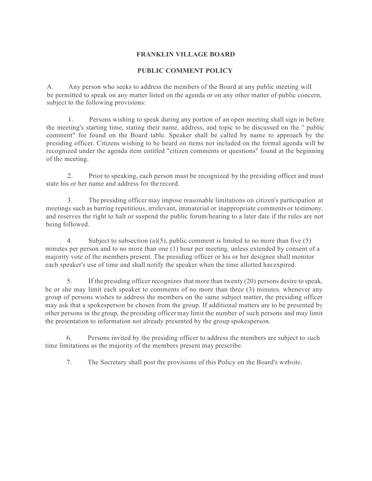## **FRANKLIN VILLAGE BOARD**

## **PUBLIC COMMENT POLICY**

A. Any person who seeks to address the members of the Board at any public meeting will be permitted to speak on any matter listed on the agenda or on any other matter of public concern, subject to the following provisions:

1. Persons wishing to speak during any portion of an open meeting shall sign in before the meeting's starting time, stating their name, address, and topic to be discussed on the " public comment" for found on the Board table. Speaker shall be called by name to approach by the presiding officer. Citizens wishing to be heard on items not included on the formal agenda will be recognized under the agenda item entitled "citizen comments or questions" found at the beginning of the meeting.

2. Prior to speaking, each person must be recognized by the presiding officer and must state his or her name and address for the record.

3. The presiding officer may impose reasonable limitations on citizen's participation at meetings such as barring repetitious, irrelevant, immaterial or inappropriate comments or testimony, and reserves the right to halt or suspend the public forum/hearing to a later date if the rules are not being followed.

4. Subject to subsection (a)(5), public comment is limited to no more than five  $(5)$ minutes per person and to no more than one (1) hour per meeting, unless extended by consent of a majority vote of the members present. The presiding officer or his or her designee shall monitor each speaker's use of time and shall notify the speaker when the time allotted has expired.

5. If the presiding officer recognizes that more than twenty (20) persons desire to speak, he or she may limit each speaker to comments of no more than three (3) minutes. whenever any group of persons wishes to address the members on the same subject matter, the presiding officer may ask that a spokesperson be chosen from the group. If additional matters are to be presented by other persons in the group, the presiding officermay limit the number of such persons and may limit the presentation to information not already presented by the group spokesperson.

6. Persons invited by the presiding officer to address the members are subject to such time limitations as the majority of the members present may prescribe.

7. The Secretary shall post the provisions of this Policy on the Board's website.